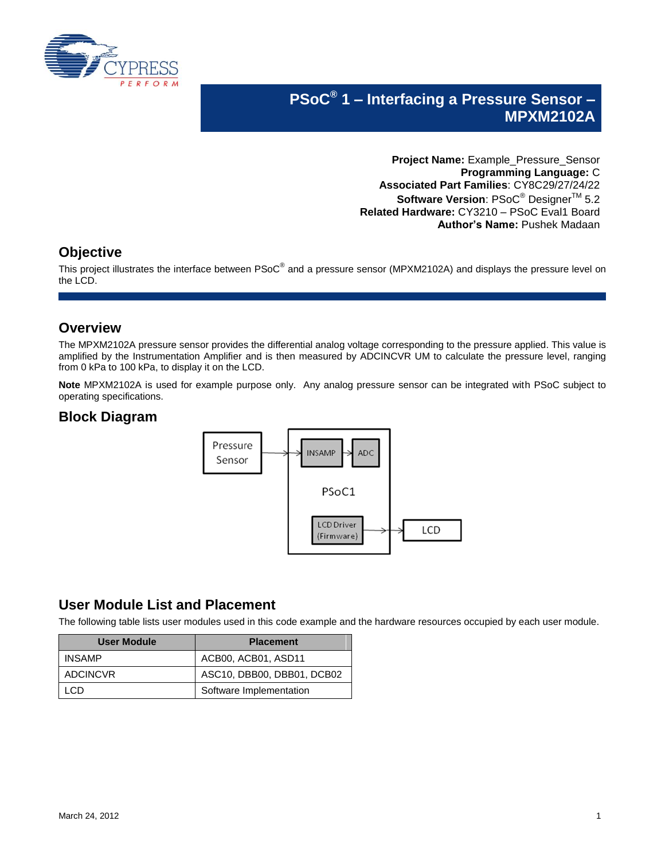

# **PSoC® 1 – Interfacing a Pressure Sensor – MPXM2102A**

**Project Name:** Example\_Pressure\_Sensor **Programming Language:** C **Associated Part Families**: CY8C29/27/24/22 **Software Version: PSoC<sup>®</sup> Designer<sup>™</sup> 5.2 Related Hardware:** CY3210 – PSoC Eval1 Board **Author's Name:** Pushek Madaan

#### **Objective**

This project illustrates the interface between PSoC $^{\circledast}$  and a pressure sensor (MPXM2102A) and displays the pressure level on the LCD.

#### **Overview**

The MPXM2102A pressure sensor provides the differential analog voltage corresponding to the pressure applied. This value is amplified by the Instrumentation Amplifier and is then measured by ADCINCVR UM to calculate the pressure level, ranging from 0 kPa to 100 kPa, to display it on the LCD.

**Note** MPXM2102A is used for example purpose only. Any analog pressure sensor can be integrated with PSoC subject to operating specifications.

## **Block Diagram**



### **User Module List and Placement**

The following table lists user modules used in this code example and the hardware resources occupied by each user module.

| User Module   | <b>Placement</b>           |
|---------------|----------------------------|
| <b>INSAMP</b> | ACB00, ACB01, ASD11        |
| ADCINCVR      | ASC10, DBB00, DBB01, DCB02 |
| €∃D           | Software Implementation    |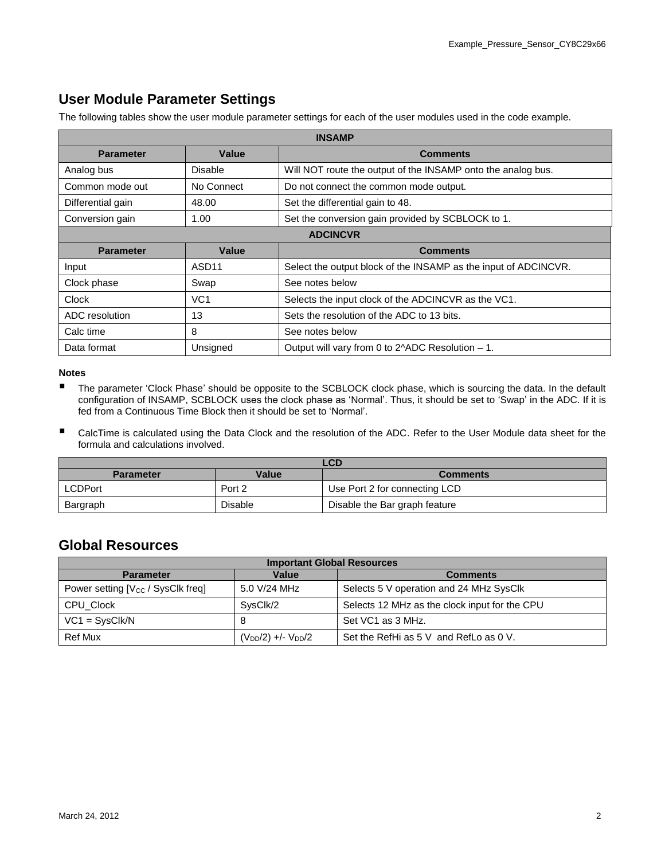# **User Module Parameter Settings**

The following tables show the user module parameter settings for each of the user modules used in the code example.

| <b>INSAMP</b>     |                   |                                                                 |  |  |
|-------------------|-------------------|-----------------------------------------------------------------|--|--|
| <b>Parameter</b>  | Value             | <b>Comments</b>                                                 |  |  |
| Analog bus        | Disable           | Will NOT route the output of the INSAMP onto the analog bus.    |  |  |
| Common mode out   | No Connect        | Do not connect the common mode output.                          |  |  |
| Differential gain | 48.00             | Set the differential gain to 48.                                |  |  |
| Conversion gain   | 1.00              | Set the conversion gain provided by SCBLOCK to 1.               |  |  |
| <b>ADCINCVR</b>   |                   |                                                                 |  |  |
| <b>Parameter</b>  | Value             | <b>Comments</b>                                                 |  |  |
| Input             | ASD <sub>11</sub> |                                                                 |  |  |
|                   |                   | Select the output block of the INSAMP as the input of ADCINCVR. |  |  |
| Clock phase       | Swap              | See notes below                                                 |  |  |
| Clock             | VC <sub>1</sub>   | Selects the input clock of the ADCINCVR as the VC1.             |  |  |
| ADC resolution    | 13                | Sets the resolution of the ADC to 13 bits.                      |  |  |
| Calc time         | 8                 | See notes below                                                 |  |  |

#### **Notes**

- The parameter 'Clock Phase' should be opposite to the SCBLOCK clock phase, which is sourcing the data. In the default configuration of INSAMP, SCBLOCK uses the clock phase as 'Normal'. Thus, it should be set to 'Swap' in the ADC. If it is fed from a Continuous Time Block then it should be set to 'Normal'.
- CalcTime is calculated using the Data Clock and the resolution of the ADC. Refer to the User Module data sheet for the formula and calculations involved.

| LCD              |         |                               |  |  |
|------------------|---------|-------------------------------|--|--|
| <b>Parameter</b> | Value   | <b>Comments</b>               |  |  |
| <b>LCDPort</b>   | Port 2  | Use Port 2 for connecting LCD |  |  |
| Bargraph         | Disable | Disable the Bar graph feature |  |  |

#### **Global Resources**

| <b>Important Global Resources</b>             |                                             |                                               |  |  |  |
|-----------------------------------------------|---------------------------------------------|-----------------------------------------------|--|--|--|
| <b>Parameter</b>                              | Value                                       | <b>Comments</b>                               |  |  |  |
| Power setting [V <sub>CC</sub> / SysClk freq] | 5.0 V/24 MHz                                | Selects 5 V operation and 24 MHz SysClk       |  |  |  |
| CPU Clock                                     | SysClk/2                                    | Selects 12 MHz as the clock input for the CPU |  |  |  |
| $VC1 = SystemC$                               |                                             | Set VC1 as 3 MHz.                             |  |  |  |
| Ref Mux                                       | (V <sub>DD</sub> /2) +/- V <sub>DD</sub> /2 | Set the RefHi as 5 V and RefLo as 0 V.        |  |  |  |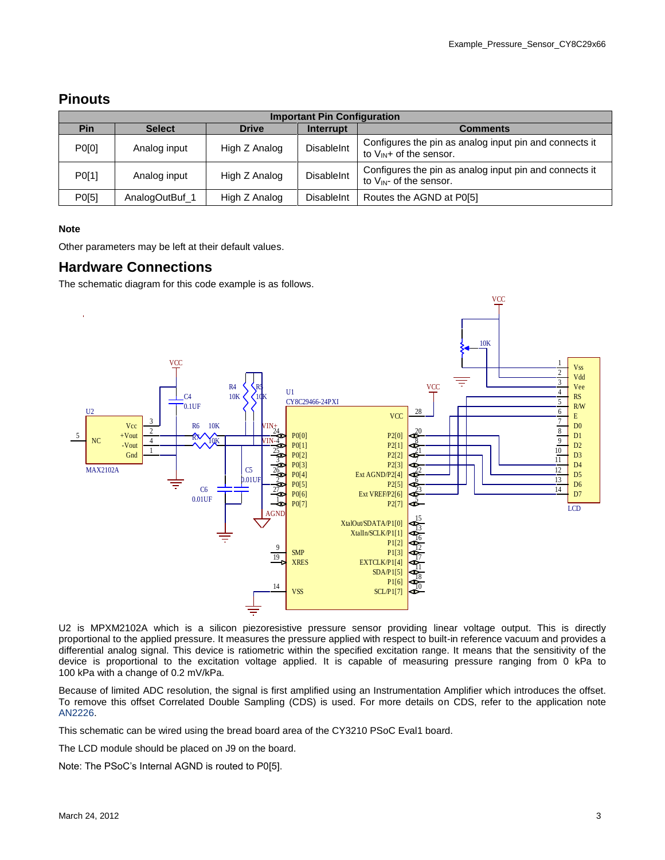### **Pinouts**

| <b>Important Pin Configuration</b> |                |               |                   |                                                                                        |  |
|------------------------------------|----------------|---------------|-------------------|----------------------------------------------------------------------------------------|--|
| Pin                                | <b>Select</b>  | <b>Drive</b>  | Interrupt         | <b>Comments</b>                                                                        |  |
| P0[0]                              | Analog input   | High Z Analog | <b>DisableInt</b> | Configures the pin as analog input pin and connects it<br>to $V_{IN}$ + of the sensor. |  |
| P0[1]                              | Analog input   | High Z Analog | <b>DisableInt</b> | Configures the pin as analog input pin and connects it<br>to $V_{IN}$ - of the sensor. |  |
| P0[5]                              | AnalogOutBuf 1 | High Z Analog | <b>DisableInt</b> | Routes the AGND at P0[5]                                                               |  |

#### **Note**

Other parameters may be left at their default values.

#### **Hardware Connections**

The schematic diagram for this code example is as follows.



U2 is MPXM2102A which is a silicon piezoresistive pressure sensor providing linear voltage output. This is directly proportional to the applied pressure. It measures the pressure applied with respect to built-in reference vacuum and provides a differential analog signal. This device is ratiometric within the specified excitation range. It means that the sensitivity of the device is proportional to the excitation voltage applied. It is capable of measuring pressure ranging from 0 kPa to 100 kPa with a change of 0.2 mV/kPa.

Because of limited ADC resolution, the signal is first amplified using an Instrumentation Amplifier which introduces the offset. To remove this offset Correlated Double Sampling (CDS) is used. For more details on CDS, refer to the application note [AN2226.](http://www.cypress.com/?rID=2894)

This schematic can be wired using the bread board area of the CY3210 PSoC Eval1 board.

The LCD module should be placed on J9 on the board.

Note: The PSoC's Internal AGND is routed to P0[5].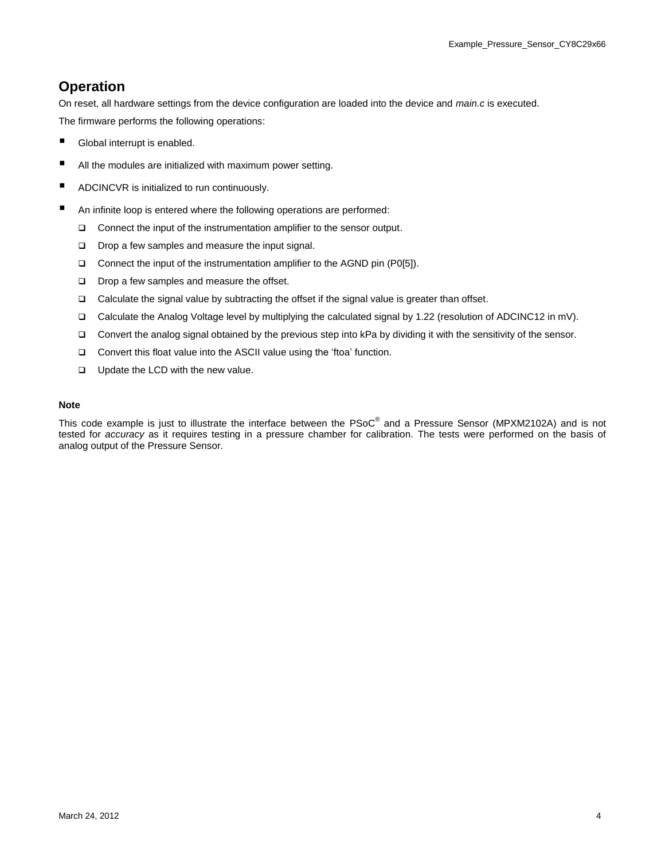### **Operation**

On reset, all hardware settings from the device configuration are loaded into the device and *main.c* is executed. The firmware performs the following operations:

- Global interrupt is enabled.
- All the modules are initialized with maximum power setting.
- **ADCINCVR** is initialized to run continuously.
- An infinite loop is entered where the following operations are performed:
	- $\Box$  Connect the input of the instrumentation amplifier to the sensor output.
	- $\square$  Drop a few samples and measure the input signal.
	- □ Connect the input of the instrumentation amplifier to the AGND pin (P0[5]).
	- Drop a few samples and measure the offset.
	- Calculate the signal value by subtracting the offset if the signal value is greater than offset.
	- Calculate the Analog Voltage level by multiplying the calculated signal by 1.22 (resolution of ADCINC12 in mV).
	- Convert the analog signal obtained by the previous step into kPa by dividing it with the sensitivity of the sensor.
	- □ Convert this float value into the ASCII value using the 'ftoa' function.
	- **U** Update the LCD with the new value.

#### **Note**

This code example is just to illustrate the interface between the PSoC® and a Pressure Sensor (MPXM2102A) and is not tested for *accuracy* as it requires testing in a pressure chamber for calibration. The tests were performed on the basis of analog output of the Pressure Sensor.